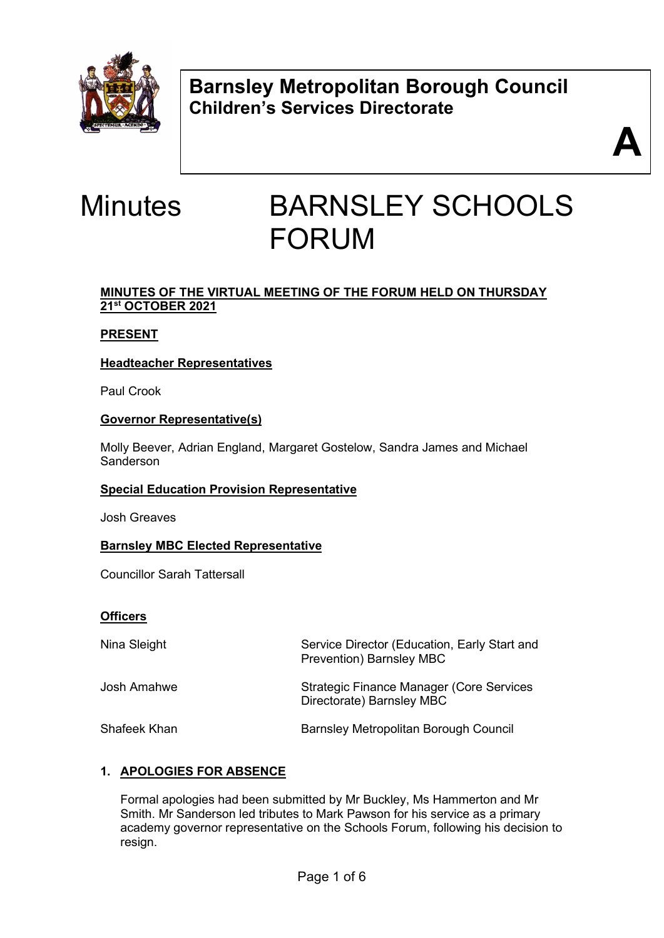

**Barnsley Metropolitan Borough Council Children's Services Directorate** 



# Minutes BARNSLEY SCHOOLS FORUM

# **MINUTES OF THE VIRTUAL MEETING OF THE FORUM HELD ON THURSDAY 21st OCTOBER 2021**

# **PRESENT**

# **Headteacher Representatives**

Paul Crook

# **Governor Representative(s)**

Molly Beever, Adrian England, Margaret Gostelow, Sandra James and Michael Sanderson

#### **Special Education Provision Representative**

Josh Greaves

# **Barnsley MBC Elected Representative**

Councillor Sarah Tattersall

#### **Officers**

| Nina Sleight | Service Director (Education, Early Start and<br><b>Prevention) Barnsley MBC</b> |
|--------------|---------------------------------------------------------------------------------|
| Josh Amahwe  | <b>Strategic Finance Manager (Core Services</b><br>Directorate) Barnsley MBC    |
| Shafeek Khan | <b>Barnsley Metropolitan Borough Council</b>                                    |

# **1. APOLOGIES FOR ABSENCE**

Formal apologies had been submitted by Mr Buckley, Ms Hammerton and Mr Smith. Mr Sanderson led tributes to Mark Pawson for his service as a primary academy governor representative on the Schools Forum, following his decision to resign.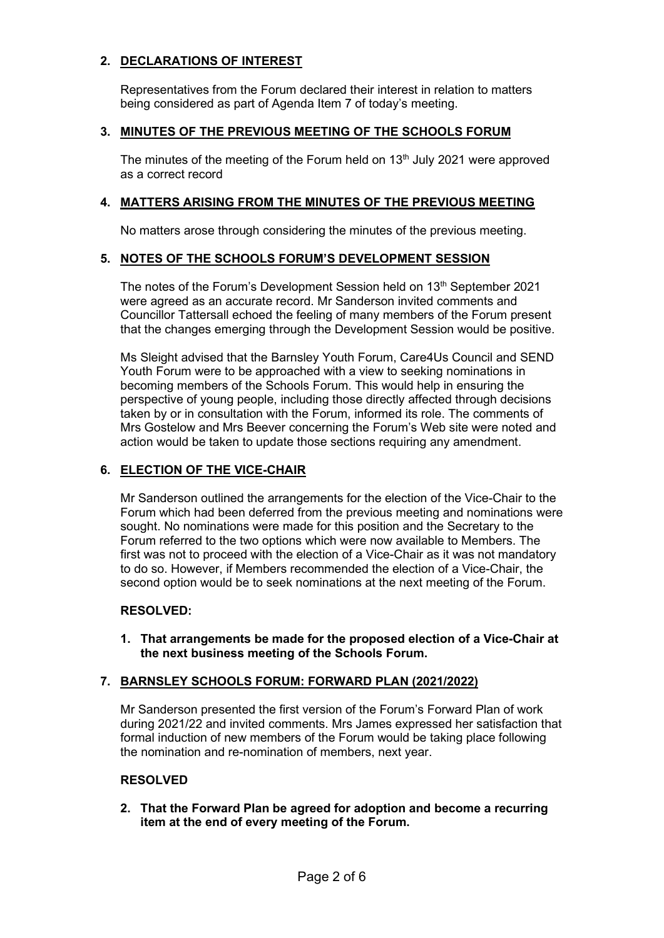# **2. DECLARATIONS OF INTEREST**

Representatives from the Forum declared their interest in relation to matters being considered as part of Agenda Item 7 of today's meeting.

# **3. MINUTES OF THE PREVIOUS MEETING OF THE SCHOOLS FORUM**

The minutes of the meeting of the Forum held on 13<sup>th</sup> July 2021 were approved as a correct record

#### **4. MATTERS ARISING FROM THE MINUTES OF THE PREVIOUS MEETING**

No matters arose through considering the minutes of the previous meeting.

#### **5. NOTES OF THE SCHOOLS FORUM'S DEVELOPMENT SESSION**

The notes of the Forum's Development Session held on 13<sup>th</sup> September 2021 were agreed as an accurate record. Mr Sanderson invited comments and Councillor Tattersall echoed the feeling of many members of the Forum present that the changes emerging through the Development Session would be positive.

Ms Sleight advised that the Barnsley Youth Forum, Care4Us Council and SEND Youth Forum were to be approached with a view to seeking nominations in becoming members of the Schools Forum. This would help in ensuring the perspective of young people, including those directly affected through decisions taken by or in consultation with the Forum, informed its role. The comments of Mrs Gostelow and Mrs Beever concerning the Forum's Web site were noted and action would be taken to update those sections requiring any amendment.

#### **6. ELECTION OF THE VICE-CHAIR**

Mr Sanderson outlined the arrangements for the election of the Vice-Chair to the Forum which had been deferred from the previous meeting and nominations were sought. No nominations were made for this position and the Secretary to the Forum referred to the two options which were now available to Members. The first was not to proceed with the election of a Vice-Chair as it was not mandatory to do so. However, if Members recommended the election of a Vice-Chair, the second option would be to seek nominations at the next meeting of the Forum.

#### **RESOLVED:**

**1. That arrangements be made for the proposed election of a Vice-Chair at the next business meeting of the Schools Forum.**

#### **7. BARNSLEY SCHOOLS FORUM: FORWARD PLAN (2021/2022)**

Mr Sanderson presented the first version of the Forum's Forward Plan of work during 2021/22 and invited comments. Mrs James expressed her satisfaction that formal induction of new members of the Forum would be taking place following the nomination and re-nomination of members, next year.

#### **RESOLVED**

**2. That the Forward Plan be agreed for adoption and become a recurring item at the end of every meeting of the Forum.**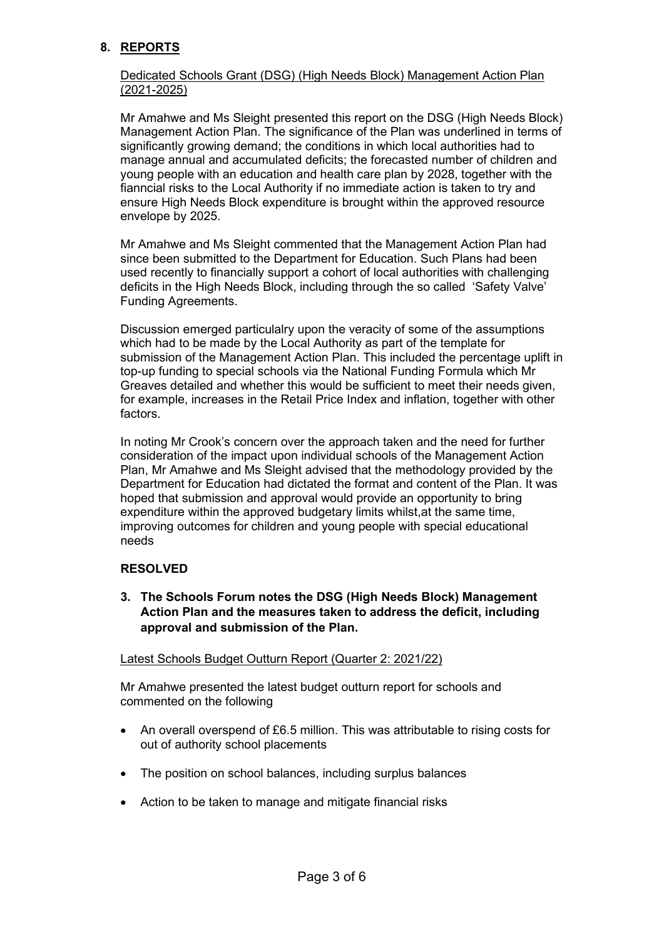# **8. REPORTS**

### Dedicated Schools Grant (DSG) (High Needs Block) Management Action Plan (2021-2025)

Mr Amahwe and Ms Sleight presented this report on the DSG (High Needs Block) Management Action Plan. The significance of the Plan was underlined in terms of significantly growing demand; the conditions in which local authorities had to manage annual and accumulated deficits; the forecasted number of children and young people with an education and health care plan by 2028, together with the fianncial risks to the Local Authority if no immediate action is taken to try and ensure High Needs Block expenditure is brought within the approved resource envelope by 2025.

Mr Amahwe and Ms Sleight commented that the Management Action Plan had since been submitted to the Department for Education. Such Plans had been used recently to financially support a cohort of local authorities with challenging deficits in the High Needs Block, including through the so called 'Safety Valve' Funding Agreements.

Discussion emerged particulalry upon the veracity of some of the assumptions which had to be made by the Local Authority as part of the template for submission of the Management Action Plan. This included the percentage uplift in top-up funding to special schools via the National Funding Formula which Mr Greaves detailed and whether this would be sufficient to meet their needs given, for example, increases in the Retail Price Index and inflation, together with other factors.

In noting Mr Crook's concern over the approach taken and the need for further consideration of the impact upon individual schools of the Management Action Plan, Mr Amahwe and Ms Sleight advised that the methodology provided by the Department for Education had dictated the format and content of the Plan. It was hoped that submission and approval would provide an opportunity to bring expenditure within the approved budgetary limits whilst,at the same time, improving outcomes for children and young people with special educational needs

# **RESOLVED**

**3. The Schools Forum notes the DSG (High Needs Block) Management Action Plan and the measures taken to address the deficit, including approval and submission of the Plan.** 

#### Latest Schools Budget Outturn Report (Quarter 2: 2021/22)

Mr Amahwe presented the latest budget outturn report for schools and commented on the following

- An overall overspend of £6.5 million. This was attributable to rising costs for out of authority school placements
- The position on school balances, including surplus balances
- Action to be taken to manage and mitigate financial risks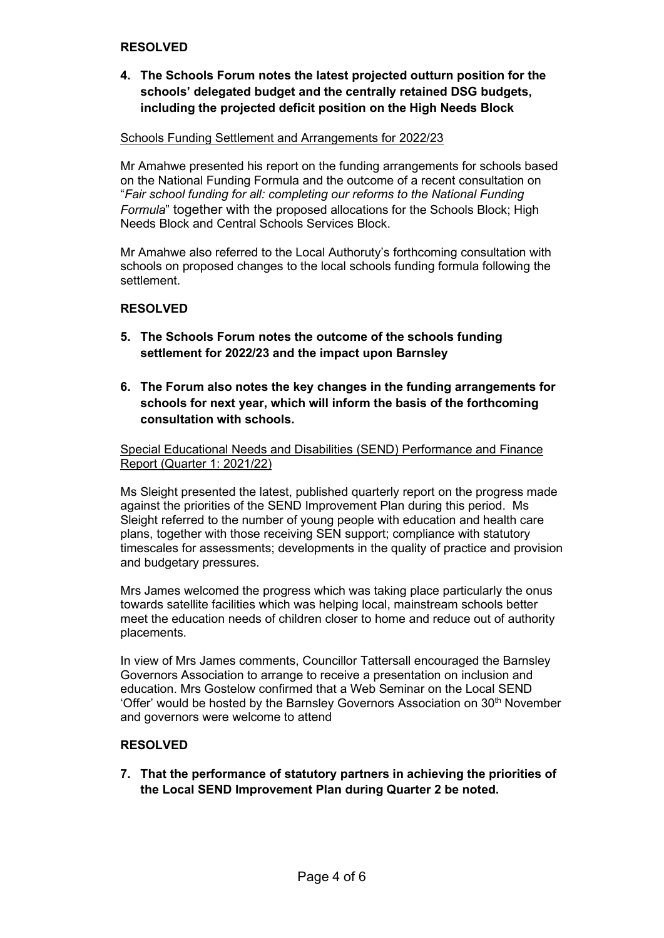#### **RESOLVED**

**4. The Schools Forum notes the latest projected outturn position for the schools' delegated budget and the centrally retained DSG budgets, including the projected deficit position on the High Needs Block**

#### Schools Funding Settlement and Arrangements for 2022/23

Mr Amahwe presented his report on the funding arrangements for schools based on the National Funding Formula and the outcome of a recent consultation on "*Fair school funding for all: completing our reforms to the National Funding Formula*" together with the proposed allocations for the Schools Block; High Needs Block and Central Schools Services Block.

Mr Amahwe also referred to the Local Authoruty's forthcoming consultation with schools on proposed changes to the local schools funding formula following the settlement.

#### **RESOLVED**

- **5. The Schools Forum notes the outcome of the schools funding settlement for 2022/23 and the impact upon Barnsley**
- **6. The Forum also notes the key changes in the funding arrangements for schools for next year, which will inform the basis of the forthcoming consultation with schools.**

Special Educational Needs and Disabilities (SEND) Performance and Finance Report (Quarter 1: 2021/22)

Ms Sleight presented the latest, published quarterly report on the progress made against the priorities of the SEND Improvement Plan during this period. Ms Sleight referred to the number of young people with education and health care plans, together with those receiving SEN support; compliance with statutory timescales for assessments; developments in the quality of practice and provision and budgetary pressures.

Mrs James welcomed the progress which was taking place particularly the onus towards satellite facilities which was helping local, mainstream schools better meet the education needs of children closer to home and reduce out of authority placements.

In view of Mrs James comments, Councillor Tattersall encouraged the Barnsley Governors Association to arrange to receive a presentation on inclusion and education. Mrs Gostelow confirmed that a Web Seminar on the Local SEND 'Offer' would be hosted by the Barnsley Governors Association on  $30<sup>th</sup>$  November and governors were welcome to attend

#### **RESOLVED**

**7. That the performance of statutory partners in achieving the priorities of the Local SEND Improvement Plan during Quarter 2 be noted.**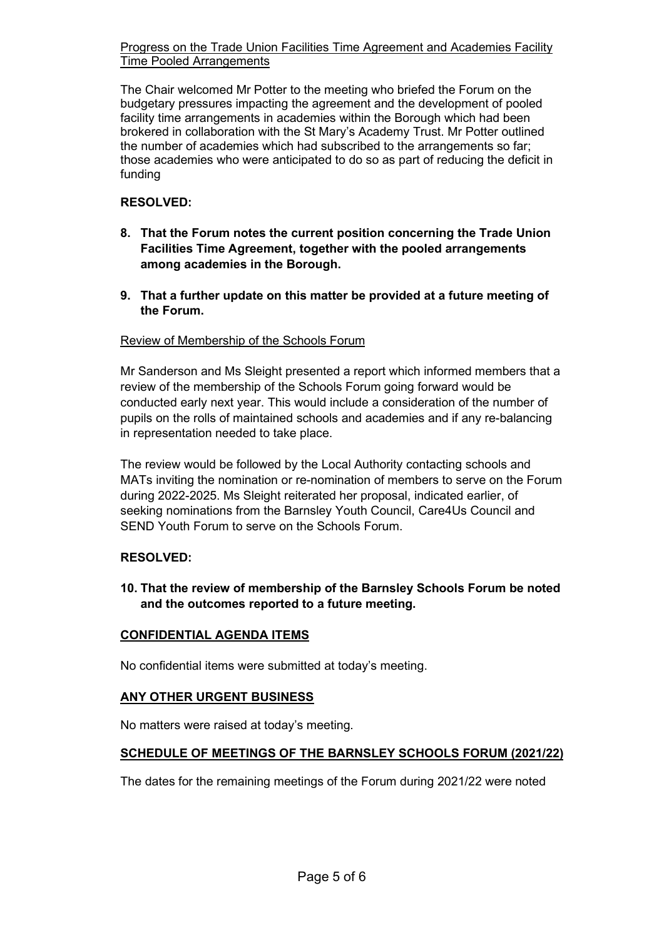Progress on the Trade Union Facilities Time Agreement and Academies Facility Time Pooled Arrangements

The Chair welcomed Mr Potter to the meeting who briefed the Forum on the budgetary pressures impacting the agreement and the development of pooled facility time arrangements in academies within the Borough which had been brokered in collaboration with the St Mary's Academy Trust. Mr Potter outlined the number of academies which had subscribed to the arrangements so far; those academies who were anticipated to do so as part of reducing the deficit in funding

# **RESOLVED:**

- **8. That the Forum notes the current position concerning the Trade Union Facilities Time Agreement, together with the pooled arrangements among academies in the Borough.**
- **9. That a further update on this matter be provided at a future meeting of the Forum.**

#### Review of Membership of the Schools Forum

Mr Sanderson and Ms Sleight presented a report which informed members that a review of the membership of the Schools Forum going forward would be conducted early next year. This would include a consideration of the number of pupils on the rolls of maintained schools and academies and if any re-balancing in representation needed to take place.

The review would be followed by the Local Authority contacting schools and MATs inviting the nomination or re-nomination of members to serve on the Forum during 2022-2025. Ms Sleight reiterated her proposal, indicated earlier, of seeking nominations from the Barnsley Youth Council, Care4Us Council and SEND Youth Forum to serve on the Schools Forum.

#### **RESOLVED:**

**10. That the review of membership of the Barnsley Schools Forum be noted and the outcomes reported to a future meeting.**

#### **CONFIDENTIAL AGENDA ITEMS**

No confidential items were submitted at today's meeting.

#### **ANY OTHER URGENT BUSINESS**

No matters were raised at today's meeting.

# **SCHEDULE OF MEETINGS OF THE BARNSLEY SCHOOLS FORUM (2021/22)**

The dates for the remaining meetings of the Forum during 2021/22 were noted